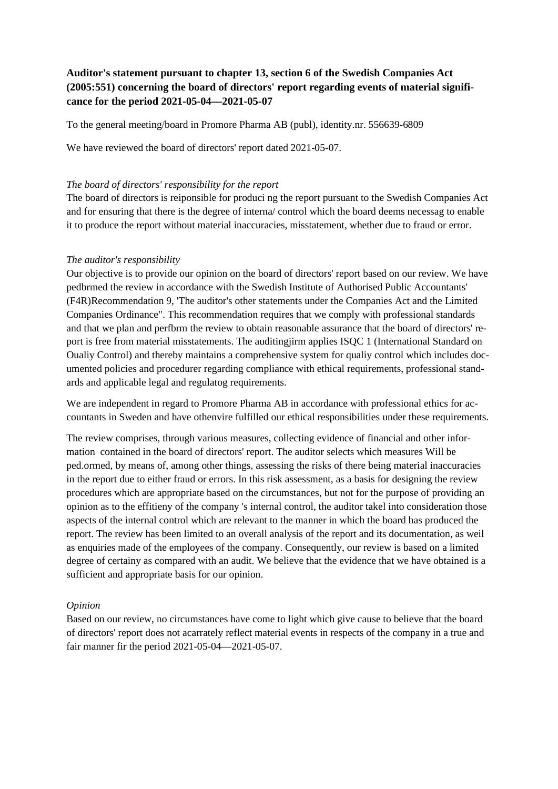## **Auditor's statement pursuant to chapter 13, section 6 of the Swedish Companies Act (2005:551) concerning the board of directors' report regarding events of material significance for the period 2021-05-04—2021-05-07**

To the general meeting/board in Promore Pharma AB (publ), identity.nr. 556639-6809

We have reviewed the board of directors' report dated 2021-05-07.

## *The board of directors' responsibility for the report*

The board of directors is reiponsible for produci ng the report pursuant to the Swedish Companies Act and for ensuring that there is the degree of interna/ control which the board deems necessag to enable it to produce the report without material inaccuracies, misstatement, whether due to fraud or error.

## *The auditor's responsibility*

Our objective is to provide our opinion on the board of directors' report based on our review. We have pedbrmed the review in accordance with the Swedish Institute of Authorised Public Accountants' (F4R)Recommendation 9, 'The auditor's other statements under the Companies Act and the Limited Companies Ordinance". This recommendation requires that we comply with professional standards and that we plan and perfbrm the review to obtain reasonable assurance that the board of directors' report is free from material misstatements. The auditingjirm applies ISQC 1 (International Standard on Oualiy Control) and thereby maintains a comprehensive system for qualiy control which includes documented policies and procedurer regarding compliance with ethical requirements, professional standards and applicable legal and regulatog requirements.

We are independent in regard to Promore Pharma AB in accordance with professional ethics for accountants in Sweden and have othenvire fulfilled our ethical responsibilities under these requirements.

The review comprises, through various measures, collecting evidence of financial and other information contained in the board of directors' report. The auditor selects which measures Will be ped.ormed, by means of, among other things, assessing the risks of there being material inaccuracies in the report due to either fraud or errors. In this risk assessment, as a basis for designing the review procedures which are appropriate based on the circumstances, but not for the purpose of providing an opinion as to the effitieny of the company 's internal control, the auditor takel into consideration those aspects of the internal control which are relevant to the manner in which the board has produced the report. The review has been limited to an overall analysis of the report and its documentation, as weil as enquiries made of the employees of the company. Consequently, our review is based on a limited degree of certainy as compared with an audit. We believe that the evidence that we have obtained is a sufficient and appropriate basis for our opinion.

## *Opinion*

Based on our review, no circumstances have come to light which give cause to believe that the board of directors' report does not acarrately reflect material events in respects of the company in a true and fair manner fir the period 2021-05-04—2021-05-07.